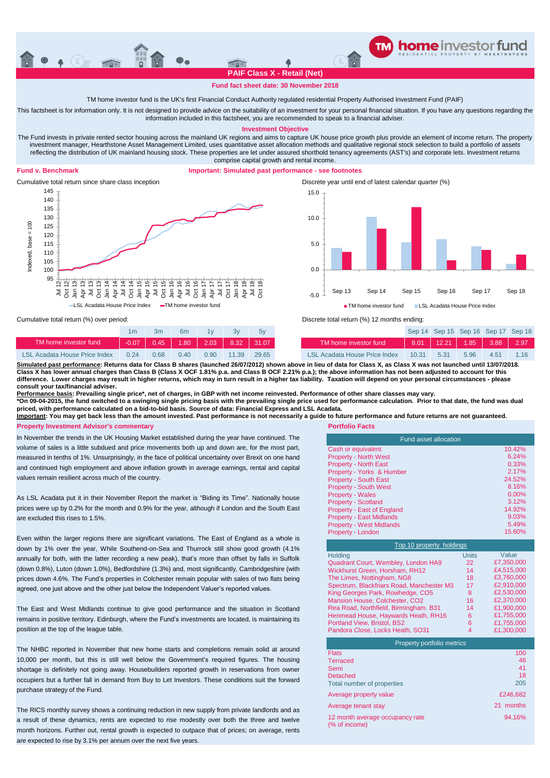

### **Fund fact sheet date: 30 November 2018**

TM home investor fund is the UK's first Financial Conduct Authority regulated residential Property Authorised Investment Fund (PAIF)

This factsheet is for information only. It is not designed to provide advice on the suitability of an investment for your personal financial situation. If you have any questions regarding the information included in this factsheet, you are recommended to speak to a financial adviser.

**Investment Objective**

The Fund invests in private rented sector housing across the mainland UK regions and aims to capture UK house price growth plus provide an element of income return. The property investment manager, Hearthstone Asset Management Limited, uses quantitative asset allocation methods and qualitative regional stock selection to build a portfolio of assets reflecting the distribution of UK mainland housing stock. These properties are let under assured shorthold tenancy agreements (AST's) and corporate lets. Investment returns comprise capital growth and rental income.

## **Fund v. Benchmark**

# **Important: Simulated past performance - see footnotes**



Cumulative total return since share class inception Discrete year until end of latest calendar quarter (%) -5.0 0.0 5.0 10.0 15.0 Sep 13 Sep 14 Sep 15 Sep 16 Sep 17 Sep 18 **TM** home investor fund LSL Acadata House Price Index

Cumulative total return (%) over period:

|                               |         |      | 6m   |                |         |       |  |
|-------------------------------|---------|------|------|----------------|---------|-------|--|
| TM home investor fund         | $-0.07$ | 0.45 |      | $1.80$ 2.03    | $-8.32$ | 31.07 |  |
| LSL Acadata House Price Index | 0.24    | 0.68 | 0.40 | $0.90^{\circ}$ | 11.39   | 29.65 |  |



1m 3m 6m 1y 3y 5y Sep 14 Sep 15 Sep 16 Sep 17 Sep 18

Discrete total return (%) 12 months ending:

| TM home investor fund                                                                                                                                                                                                                                                                                                                          | $-0.07$ | 0.45 |      | $1.80$ 2.03 8.32 31.07 |       |       |  | TM home investor fund                    | $8.01$   12.21   1.85   3.88 |      |      | 2.97 |
|------------------------------------------------------------------------------------------------------------------------------------------------------------------------------------------------------------------------------------------------------------------------------------------------------------------------------------------------|---------|------|------|------------------------|-------|-------|--|------------------------------------------|------------------------------|------|------|------|
| <b>LSL Acadata House Price Index</b>                                                                                                                                                                                                                                                                                                           | 0.24    | 0.68 | 0.40 | 0.90                   | 11 39 | 29.65 |  | LSL Acadata House Price Index 10.31 5.31 |                              | 5.96 | 4.51 | 1.16 |
| Simulated past performance: Returns data for Class B shares (launched 26/07/2012) shown above in lieu of data for Class X, as Class X was not launched until 13/07/2018.<br>Class X has lower annual charges than Class B (Class X OCF 1.81% p.a. and Class B OCF 2.21% p.a.); the above information has not been adjusted to account for this |         |      |      |                        |       |       |  |                                          |                              |      |      |      |
|                                                                                                                                                                                                                                                                                                                                                |         |      |      |                        |       |       |  |                                          |                              |      |      |      |

**difference. Lower charges may result in higher returns, which may in turn result in a higher tax liability. Taxation will depend on your personal circumstances - please consult your tax/financial adviser.**

<u>Performance basis</u>: Prevailing single price\*, net of charges, in GBP with net income reinvested. Performance of other share classes may vary.<br>\*On 09-04-2015, the fund switched to a swinging single pricing basis with the p

**priced, with performance calculated on a bid-to-bid basis. Source of data: Financial Express and LSL Acadata.**

**Important: You may get back less than the amount invested. Past performance is not necessarily a guide to future performance and future returns are not guaranteed. Property Investment Advisor's commentary <b>Property Investment Advisor's commentary Portfolio Facts** 

In November the trends in the UK Housing Market established during the year have continued. The volume of sales is a little subdued and price movements both up and down are, for the most part, measured in tenths of 1%. Unsurprisingly, in the face of political uncertainty over Brexit on one hand and continued high employment and above inflation growth in average earnings, rental and capital values remain resilient across much of the country.

As LSL Acadata put it in their November Report the market is "Biding its Time". Nationally house prices were up by 0.2% for the month and 0.9% for the year, although if London and the South East are excluded this rises to 1.5%.

Even within the larger regions there are significant variations. The East of England as a whole is down by 1% over the year, While Southend-on-Sea and Thurrock still show good growth (4.1% annually for both, with the latter recording a new peak), that's more than offset by falls in Suffolk (down 0.8%), Luton (down 1.0%), Bedfordshire (1.3%) and, most significantly, Cambridgeshire (with prices down 4.6%. The Fund's properties in Colchester remain popular with sales of two flats being agreed, one just above and the other just below the Independent Valuer's reported values.

The East and West Midlands continue to give good performance and the situation in Scotland remains in positive territory. Edinburgh, where the Fund's investments are located, is maintaining its position at the top of the league table.

The NHBC reported in November that new home starts and completions remain solid at around 10,000 per month, but this is still well below the Government's required figures. The housing shortage is definitely not going away. Housebuilders reported growth in reservations from owner occupiers but a further fall in demand from Buy to Let Investors. These conditions suit the forward purchase strategy of the Fund.

The RICS monthly survey shows a continuing reduction in new supply from private landlords and as a result of these dynamics, rents are expected to rise modestly over both the three and twelve month horizons. Further out, rental growth is expected to outpace that of prices; on average, rents are expected to rise by 3.1% per annum over the next five years.

| <b>Fund asset allocation</b>    |          |  |  |  |
|---------------------------------|----------|--|--|--|
| Cash or equivalent              | 10.42%   |  |  |  |
| <b>Property - North West</b>    | 6.24%    |  |  |  |
| <b>Property - North East</b>    | 0.33%    |  |  |  |
| Property - Yorks & Humber       | 2.17%    |  |  |  |
| <b>Property - South East</b>    | 24.52%   |  |  |  |
| <b>Property - South West</b>    | 8.16%    |  |  |  |
| <b>Property - Wales</b>         | $0.00\%$ |  |  |  |
| <b>Property - Scotland</b>      | 3.12%    |  |  |  |
| Property - East of England      | 14.92%   |  |  |  |
| <b>Property - East Midlands</b> | 9.03%    |  |  |  |
| <b>Property - West Midlands</b> | 5.49%    |  |  |  |
| Property - London               | 15.60%   |  |  |  |

| Top 10 property holdings                  |              |            |  |  |  |  |  |
|-------------------------------------------|--------------|------------|--|--|--|--|--|
| Holding                                   | <b>Units</b> | Value      |  |  |  |  |  |
| Quadrant Court, Wembley, London HA9       | 22           | £7,350,000 |  |  |  |  |  |
| Wickhurst Green, Horsham, RH12            | 14           | £4,515,000 |  |  |  |  |  |
| The Limes, Nottingham, NG8                | 18           | £3,760,000 |  |  |  |  |  |
| Spectrum, Blackfriars Road, Manchester M3 | 17           | £2.910.000 |  |  |  |  |  |
| King Georges Park, Rowhedge, CO5          | 8            | £2,530,000 |  |  |  |  |  |
| Mansion House, Colchester, CO2            | 16           | £2.370.000 |  |  |  |  |  |
| Rea Road, Northfield, Birmingham. B31     | 14           | £1,900,000 |  |  |  |  |  |
| Henmead House, Haywards Heath, RH16       | 6            | £1,755,000 |  |  |  |  |  |
| Portland View, Bristol, BS2               | 6            | £1,755,000 |  |  |  |  |  |
| Pandora Close, Locks Heath, SO31          | 4            | £1,300,000 |  |  |  |  |  |

| Property portfolio metrics                       |              |
|--------------------------------------------------|--------------|
| <b>Flats</b>                                     | 100          |
| <b>Terraced</b>                                  | 46           |
| Semi                                             | 41           |
| Detached                                         | 18           |
| Total number of properties                       | 205          |
| Average property value                           | £246.682     |
| Average tenant stay                              | months<br>21 |
| 12 month average occupancy rate<br>(% of income) | 94.16%       |